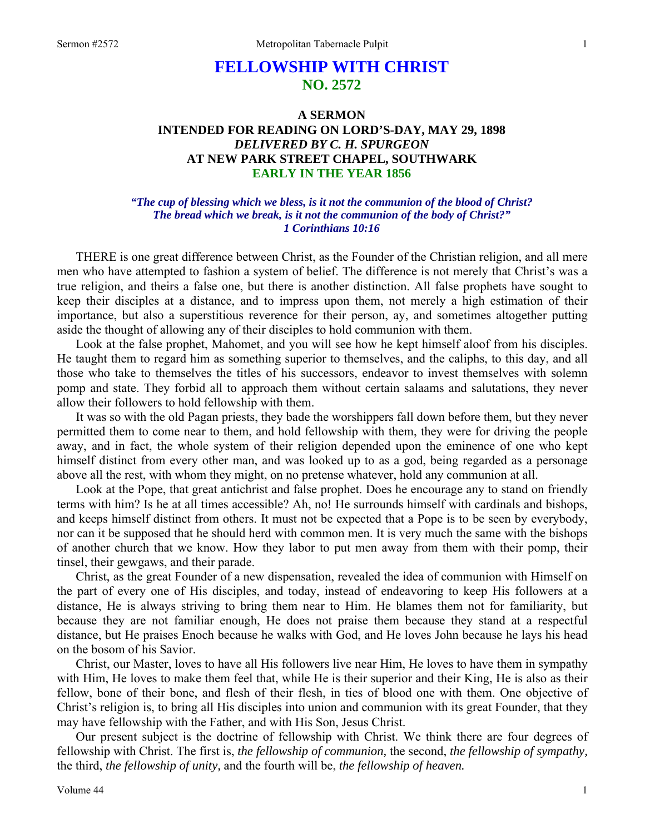# **FELLOWSHIP WITH CHRIST NO. 2572**

# **A SERMON INTENDED FOR READING ON LORD'S-DAY, MAY 29, 1898**  *DELIVERED BY C. H. SPURGEON*  **AT NEW PARK STREET CHAPEL, SOUTHWARK EARLY IN THE YEAR 1856**

### *"The cup of blessing which we bless, is it not the communion of the blood of Christ? The bread which we break, is it not the communion of the body of Christ?" 1 Corinthians 10:16*

THERE is one great difference between Christ, as the Founder of the Christian religion, and all mere men who have attempted to fashion a system of belief. The difference is not merely that Christ's was a true religion, and theirs a false one, but there is another distinction. All false prophets have sought to keep their disciples at a distance, and to impress upon them, not merely a high estimation of their importance, but also a superstitious reverence for their person, ay, and sometimes altogether putting aside the thought of allowing any of their disciples to hold communion with them.

Look at the false prophet, Mahomet, and you will see how he kept himself aloof from his disciples. He taught them to regard him as something superior to themselves, and the caliphs, to this day, and all those who take to themselves the titles of his successors, endeavor to invest themselves with solemn pomp and state. They forbid all to approach them without certain salaams and salutations, they never allow their followers to hold fellowship with them.

It was so with the old Pagan priests, they bade the worshippers fall down before them, but they never permitted them to come near to them, and hold fellowship with them, they were for driving the people away, and in fact, the whole system of their religion depended upon the eminence of one who kept himself distinct from every other man, and was looked up to as a god, being regarded as a personage above all the rest, with whom they might, on no pretense whatever, hold any communion at all.

Look at the Pope, that great antichrist and false prophet. Does he encourage any to stand on friendly terms with him? Is he at all times accessible? Ah, no! He surrounds himself with cardinals and bishops, and keeps himself distinct from others. It must not be expected that a Pope is to be seen by everybody, nor can it be supposed that he should herd with common men. It is very much the same with the bishops of another church that we know. How they labor to put men away from them with their pomp, their tinsel, their gewgaws, and their parade.

Christ, as the great Founder of a new dispensation, revealed the idea of communion with Himself on the part of every one of His disciples, and today, instead of endeavoring to keep His followers at a distance, He is always striving to bring them near to Him. He blames them not for familiarity, but because they are not familiar enough, He does not praise them because they stand at a respectful distance, but He praises Enoch because he walks with God, and He loves John because he lays his head on the bosom of his Savior.

Christ, our Master, loves to have all His followers live near Him, He loves to have them in sympathy with Him, He loves to make them feel that, while He is their superior and their King, He is also as their fellow, bone of their bone, and flesh of their flesh, in ties of blood one with them. One objective of Christ's religion is, to bring all His disciples into union and communion with its great Founder, that they may have fellowship with the Father, and with His Son, Jesus Christ.

Our present subject is the doctrine of fellowship with Christ. We think there are four degrees of fellowship with Christ. The first is, *the fellowship of communion,* the second, *the fellowship of sympathy,*  the third, *the fellowship of unity,* and the fourth will be, *the fellowship of heaven.*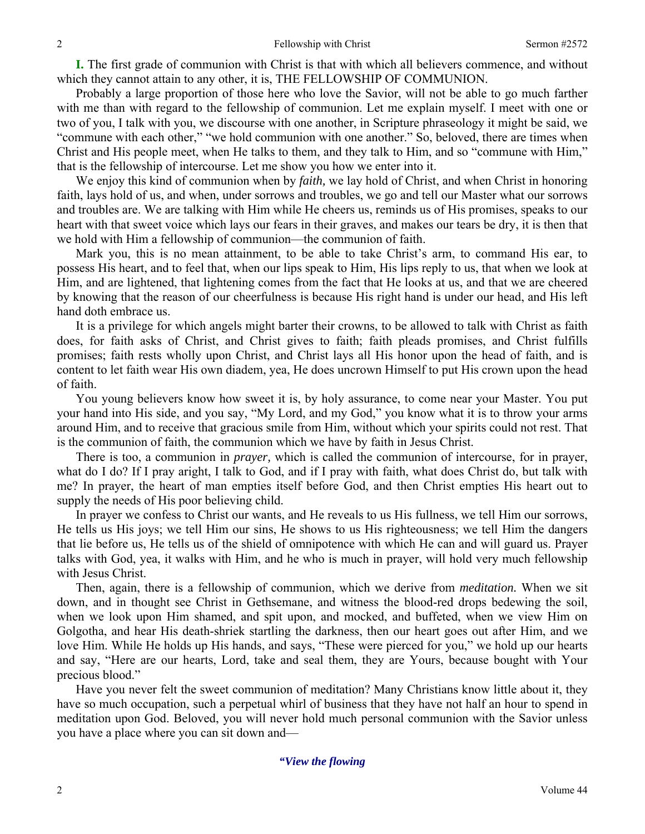**I.** The first grade of communion with Christ is that with which all believers commence, and without which they cannot attain to any other, it is, THE FELLOWSHIP OF COMMUNION.

Probably a large proportion of those here who love the Savior, will not be able to go much farther with me than with regard to the fellowship of communion. Let me explain myself. I meet with one or two of you, I talk with you, we discourse with one another, in Scripture phraseology it might be said, we "commune with each other," "we hold communion with one another." So, beloved, there are times when Christ and His people meet, when He talks to them, and they talk to Him, and so "commune with Him," that is the fellowship of intercourse. Let me show you how we enter into it.

We enjoy this kind of communion when by *faith,* we lay hold of Christ, and when Christ in honoring faith, lays hold of us, and when, under sorrows and troubles, we go and tell our Master what our sorrows and troubles are. We are talking with Him while He cheers us, reminds us of His promises, speaks to our heart with that sweet voice which lays our fears in their graves, and makes our tears be dry, it is then that we hold with Him a fellowship of communion—the communion of faith.

Mark you, this is no mean attainment, to be able to take Christ's arm, to command His ear, to possess His heart, and to feel that, when our lips speak to Him, His lips reply to us, that when we look at Him, and are lightened, that lightening comes from the fact that He looks at us, and that we are cheered by knowing that the reason of our cheerfulness is because His right hand is under our head, and His left hand doth embrace us.

It is a privilege for which angels might barter their crowns, to be allowed to talk with Christ as faith does, for faith asks of Christ, and Christ gives to faith; faith pleads promises, and Christ fulfills promises; faith rests wholly upon Christ, and Christ lays all His honor upon the head of faith, and is content to let faith wear His own diadem, yea, He does uncrown Himself to put His crown upon the head of faith.

You young believers know how sweet it is, by holy assurance, to come near your Master. You put your hand into His side, and you say, "My Lord, and my God," you know what it is to throw your arms around Him, and to receive that gracious smile from Him, without which your spirits could not rest. That is the communion of faith, the communion which we have by faith in Jesus Christ.

There is too, a communion in *prayer,* which is called the communion of intercourse, for in prayer, what do I do? If I pray aright, I talk to God, and if I pray with faith, what does Christ do, but talk with me? In prayer, the heart of man empties itself before God, and then Christ empties His heart out to supply the needs of His poor believing child.

In prayer we confess to Christ our wants, and He reveals to us His fullness, we tell Him our sorrows, He tells us His joys; we tell Him our sins, He shows to us His righteousness; we tell Him the dangers that lie before us, He tells us of the shield of omnipotence with which He can and will guard us. Prayer talks with God, yea, it walks with Him, and he who is much in prayer, will hold very much fellowship with Jesus Christ.

Then, again, there is a fellowship of communion, which we derive from *meditation.* When we sit down, and in thought see Christ in Gethsemane, and witness the blood-red drops bedewing the soil, when we look upon Him shamed, and spit upon, and mocked, and buffeted, when we view Him on Golgotha, and hear His death-shriek startling the darkness, then our heart goes out after Him, and we love Him. While He holds up His hands, and says, "These were pierced for you," we hold up our hearts and say, "Here are our hearts, Lord, take and seal them, they are Yours, because bought with Your precious blood."

Have you never felt the sweet communion of meditation? Many Christians know little about it, they have so much occupation, such a perpetual whirl of business that they have not half an hour to spend in meditation upon God. Beloved, you will never hold much personal communion with the Savior unless you have a place where you can sit down and—

*"View the flowing*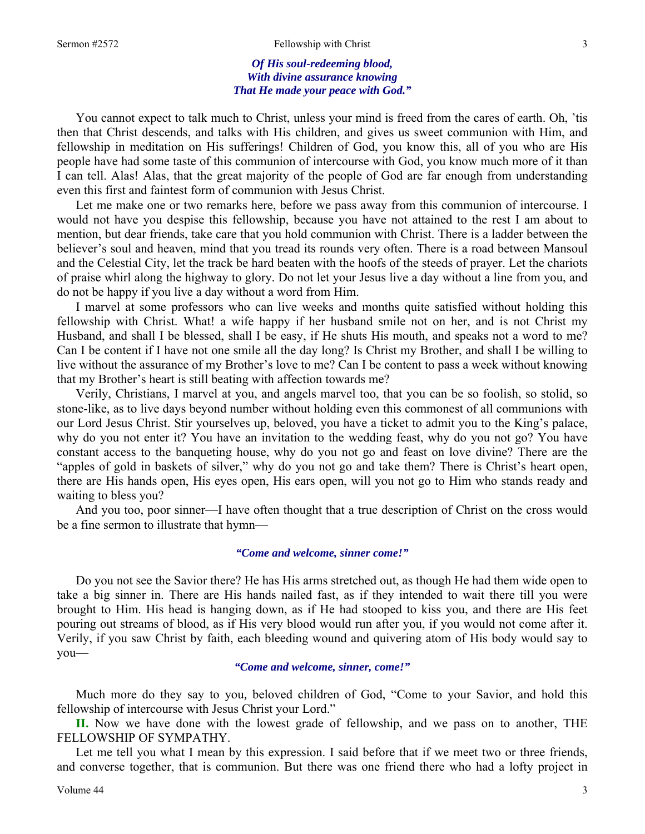#### Sermon #2572 **Sermon #2572** Fellowship with Christ 3

*Of His soul-redeeming blood, With divine assurance knowing That He made your peace with God."* 

You cannot expect to talk much to Christ, unless your mind is freed from the cares of earth. Oh, 'tis then that Christ descends, and talks with His children, and gives us sweet communion with Him, and fellowship in meditation on His sufferings! Children of God, you know this, all of you who are His people have had some taste of this communion of intercourse with God, you know much more of it than I can tell. Alas! Alas, that the great majority of the people of God are far enough from understanding even this first and faintest form of communion with Jesus Christ.

Let me make one or two remarks here, before we pass away from this communion of intercourse. I would not have you despise this fellowship, because you have not attained to the rest I am about to mention, but dear friends, take care that you hold communion with Christ. There is a ladder between the believer's soul and heaven, mind that you tread its rounds very often. There is a road between Mansoul and the Celestial City, let the track be hard beaten with the hoofs of the steeds of prayer. Let the chariots of praise whirl along the highway to glory. Do not let your Jesus live a day without a line from you, and do not be happy if you live a day without a word from Him.

I marvel at some professors who can live weeks and months quite satisfied without holding this fellowship with Christ. What! a wife happy if her husband smile not on her, and is not Christ my Husband, and shall I be blessed, shall I be easy, if He shuts His mouth, and speaks not a word to me? Can I be content if I have not one smile all the day long? Is Christ my Brother, and shall I be willing to live without the assurance of my Brother's love to me? Can I be content to pass a week without knowing that my Brother's heart is still beating with affection towards me?

Verily, Christians, I marvel at you, and angels marvel too, that you can be so foolish, so stolid, so stone-like, as to live days beyond number without holding even this commonest of all communions with our Lord Jesus Christ. Stir yourselves up, beloved, you have a ticket to admit you to the King's palace, why do you not enter it? You have an invitation to the wedding feast, why do you not go? You have constant access to the banqueting house, why do you not go and feast on love divine? There are the "apples of gold in baskets of silver," why do you not go and take them? There is Christ's heart open, there are His hands open, His eyes open, His ears open, will you not go to Him who stands ready and waiting to bless you?

And you too, poor sinner—I have often thought that a true description of Christ on the cross would be a fine sermon to illustrate that hymn—

#### *"Come and welcome, sinner come!"*

Do you not see the Savior there? He has His arms stretched out, as though He had them wide open to take a big sinner in. There are His hands nailed fast, as if they intended to wait there till you were brought to Him. His head is hanging down, as if He had stooped to kiss you, and there are His feet pouring out streams of blood, as if His very blood would run after you, if you would not come after it. Verily, if you saw Christ by faith, each bleeding wound and quivering atom of His body would say to you—

### *"Come and welcome, sinner, come!"*

Much more do they say to you*,* beloved children of God, "Come to your Savior, and hold this fellowship of intercourse with Jesus Christ your Lord."

**II.** Now we have done with the lowest grade of fellowship, and we pass on to another, THE FELLOWSHIP OF SYMPATHY.

Let me tell you what I mean by this expression. I said before that if we meet two or three friends, and converse together, that is communion. But there was one friend there who had a lofty project in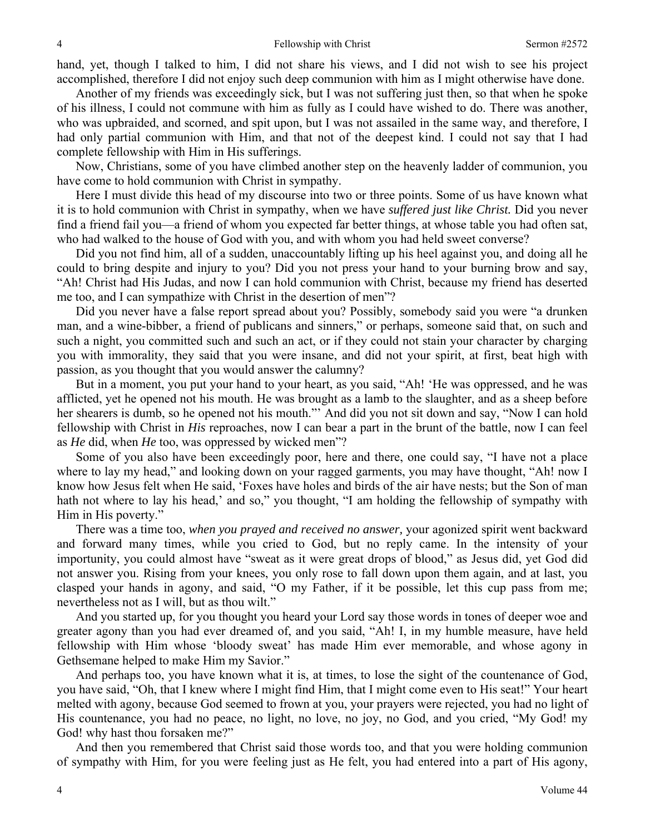hand, yet, though I talked to him, I did not share his views, and I did not wish to see his project accomplished, therefore I did not enjoy such deep communion with him as I might otherwise have done.

Another of my friends was exceedingly sick, but I was not suffering just then, so that when he spoke of his illness, I could not commune with him as fully as I could have wished to do. There was another, who was upbraided, and scorned, and spit upon, but I was not assailed in the same way, and therefore, I had only partial communion with Him, and that not of the deepest kind. I could not say that I had complete fellowship with Him in His sufferings.

Now, Christians, some of you have climbed another step on the heavenly ladder of communion, you have come to hold communion with Christ in sympathy.

Here I must divide this head of my discourse into two or three points. Some of us have known what it is to hold communion with Christ in sympathy, when we have *suffered just like Christ.* Did you never find a friend fail you—a friend of whom you expected far better things, at whose table you had often sat, who had walked to the house of God with you, and with whom you had held sweet converse?

Did you not find him, all of a sudden, unaccountably lifting up his heel against you, and doing all he could to bring despite and injury to you? Did you not press your hand to your burning brow and say, "Ah! Christ had His Judas, and now I can hold communion with Christ, because my friend has deserted me too, and I can sympathize with Christ in the desertion of men"?

Did you never have a false report spread about you? Possibly, somebody said you were "a drunken man, and a wine-bibber, a friend of publicans and sinners," or perhaps, someone said that, on such and such a night, you committed such and such an act, or if they could not stain your character by charging you with immorality, they said that you were insane, and did not your spirit, at first, beat high with passion, as you thought that you would answer the calumny?

But in a moment, you put your hand to your heart, as you said, "Ah! 'He was oppressed, and he was afflicted, yet he opened not his mouth. He was brought as a lamb to the slaughter, and as a sheep before her shearers is dumb, so he opened not his mouth."' And did you not sit down and say, "Now I can hold fellowship with Christ in *His* reproaches, now I can bear a part in the brunt of the battle, now I can feel as *He* did, when *He* too, was oppressed by wicked men"?

Some of you also have been exceedingly poor, here and there, one could say, "I have not a place where to lay my head," and looking down on your ragged garments, you may have thought, "Ah! now I know how Jesus felt when He said, 'Foxes have holes and birds of the air have nests; but the Son of man hath not where to lay his head,' and so," you thought, "I am holding the fellowship of sympathy with Him in His poverty."

There was a time too, *when you prayed and received no answer,* your agonized spirit went backward and forward many times, while you cried to God, but no reply came. In the intensity of your importunity, you could almost have "sweat as it were great drops of blood," as Jesus did, yet God did not answer you. Rising from your knees, you only rose to fall down upon them again, and at last, you clasped your hands in agony, and said, "O my Father, if it be possible, let this cup pass from me; nevertheless not as I will, but as thou wilt."

And you started up, for you thought you heard your Lord say those words in tones of deeper woe and greater agony than you had ever dreamed of, and you said, "Ah! I, in my humble measure, have held fellowship with Him whose 'bloody sweat' has made Him ever memorable, and whose agony in Gethsemane helped to make Him my Savior."

And perhaps too, you have known what it is, at times, to lose the sight of the countenance of God, you have said, "Oh, that I knew where I might find Him, that I might come even to His seat!" Your heart melted with agony, because God seemed to frown at you, your prayers were rejected, you had no light of His countenance, you had no peace, no light, no love, no joy, no God, and you cried, "My God! my God! why hast thou forsaken me?"

And then you remembered that Christ said those words too, and that you were holding communion of sympathy with Him, for you were feeling just as He felt, you had entered into a part of His agony,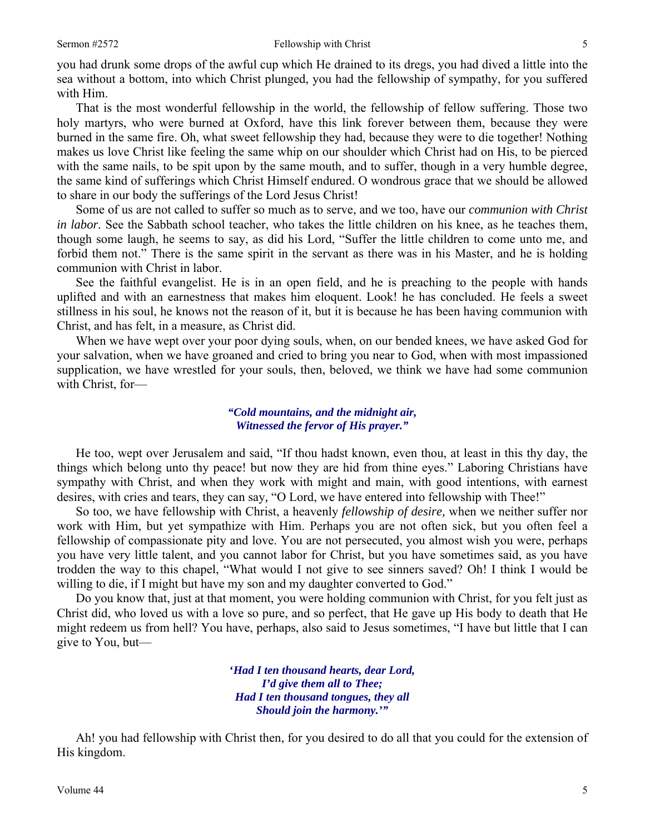you had drunk some drops of the awful cup which He drained to its dregs, you had dived a little into the sea without a bottom, into which Christ plunged, you had the fellowship of sympathy, for you suffered with Him.

That is the most wonderful fellowship in the world, the fellowship of fellow suffering. Those two holy martyrs, who were burned at Oxford, have this link forever between them, because they were burned in the same fire. Oh, what sweet fellowship they had, because they were to die together! Nothing makes us love Christ like feeling the same whip on our shoulder which Christ had on His, to be pierced with the same nails, to be spit upon by the same mouth, and to suffer, though in a very humble degree, the same kind of sufferings which Christ Himself endured. O wondrous grace that we should be allowed to share in our body the sufferings of the Lord Jesus Christ!

Some of us are not called to suffer so much as to serve, and we too, have our *communion with Christ in labor*. See the Sabbath school teacher, who takes the little children on his knee, as he teaches them, though some laugh, he seems to say, as did his Lord, "Suffer the little children to come unto me, and forbid them not." There is the same spirit in the servant as there was in his Master, and he is holding communion with Christ in labor.

See the faithful evangelist. He is in an open field, and he is preaching to the people with hands uplifted and with an earnestness that makes him eloquent. Look! he has concluded. He feels a sweet stillness in his soul, he knows not the reason of it, but it is because he has been having communion with Christ, and has felt, in a measure, as Christ did.

When we have wept over your poor dying souls, when, on our bended knees, we have asked God for your salvation, when we have groaned and cried to bring you near to God, when with most impassioned supplication, we have wrestled for your souls, then, beloved, we think we have had some communion with Christ, for—

# *"Cold mountains, and the midnight air, Witnessed the fervor of His prayer."*

He too, wept over Jerusalem and said, "If thou hadst known, even thou, at least in this thy day, the things which belong unto thy peace! but now they are hid from thine eyes." Laboring Christians have sympathy with Christ, and when they work with might and main, with good intentions, with earnest desires, with cries and tears, they can say*,* "O Lord, we have entered into fellowship with Thee!"

So too, we have fellowship with Christ, a heavenly *fellowship of desire,* when we neither suffer nor work with Him, but yet sympathize with Him. Perhaps you are not often sick, but you often feel a fellowship of compassionate pity and love. You are not persecuted, you almost wish you were, perhaps you have very little talent, and you cannot labor for Christ, but you have sometimes said, as you have trodden the way to this chapel, "What would I not give to see sinners saved? Oh! I think I would be willing to die, if I might but have my son and my daughter converted to God."

Do you know that, just at that moment, you were holding communion with Christ, for you felt just as Christ did, who loved us with a love so pure, and so perfect, that He gave up His body to death that He might redeem us from hell? You have, perhaps, also said to Jesus sometimes, "I have but little that I can give to You, but—

> **'***Had I ten thousand hearts, dear Lord, I'd give them all to Thee; Had I ten thousand tongues, they all Should join the harmony.'"*

Ah! you had fellowship with Christ then, for you desired to do all that you could for the extension of His kingdom.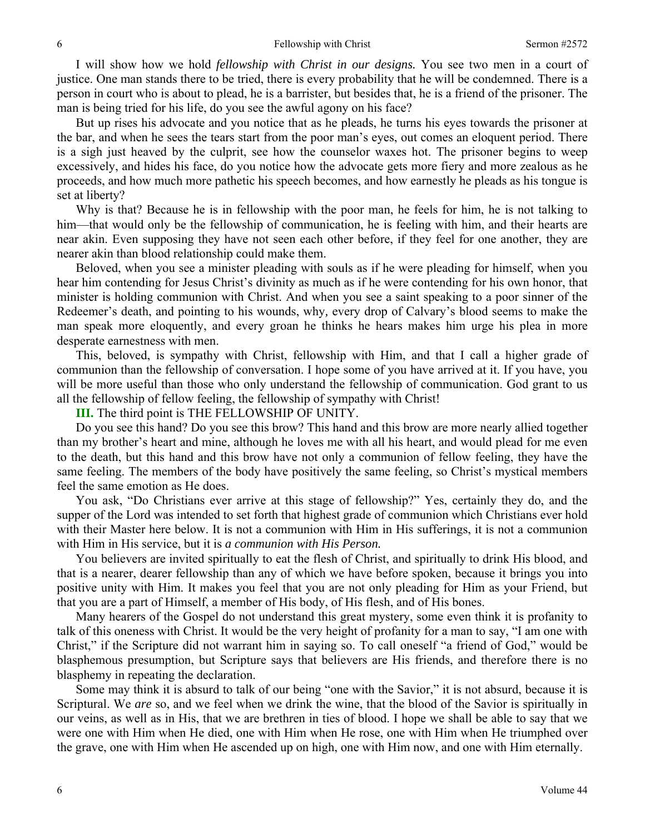I will show how we hold *fellowship with Christ in our designs.* You see two men in a court of justice. One man stands there to be tried, there is every probability that he will be condemned. There is a person in court who is about to plead, he is a barrister, but besides that, he is a friend of the prisoner. The man is being tried for his life, do you see the awful agony on his face?

But up rises his advocate and you notice that as he pleads, he turns his eyes towards the prisoner at the bar, and when he sees the tears start from the poor man's eyes, out comes an eloquent period. There is a sigh just heaved by the culprit, see how the counselor waxes hot. The prisoner begins to weep excessively, and hides his face, do you notice how the advocate gets more fiery and more zealous as he proceeds, and how much more pathetic his speech becomes, and how earnestly he pleads as his tongue is set at liberty?

Why is that? Because he is in fellowship with the poor man, he feels for him, he is not talking to him—that would only be the fellowship of communication, he is feeling with him, and their hearts are near akin. Even supposing they have not seen each other before, if they feel for one another, they are nearer akin than blood relationship could make them.

Beloved, when you see a minister pleading with souls as if he were pleading for himself, when you hear him contending for Jesus Christ's divinity as much as if he were contending for his own honor, that minister is holding communion with Christ. And when you see a saint speaking to a poor sinner of the Redeemer's death, and pointing to his wounds, why*,* every drop of Calvary's blood seems to make the man speak more eloquently, and every groan he thinks he hears makes him urge his plea in more desperate earnestness with men.

This, beloved, is sympathy with Christ, fellowship with Him, and that I call a higher grade of communion than the fellowship of conversation. I hope some of you have arrived at it. If you have, you will be more useful than those who only understand the fellowship of communication. God grant to us all the fellowship of fellow feeling, the fellowship of sympathy with Christ!

**III.** The third point is THE FELLOWSHIP OF UNITY.

Do you see this hand? Do you see this brow? This hand and this brow are more nearly allied together than my brother's heart and mine, although he loves me with all his heart, and would plead for me even to the death, but this hand and this brow have not only a communion of fellow feeling, they have the same feeling. The members of the body have positively the same feeling, so Christ's mystical members feel the same emotion as He does.

You ask, "Do Christians ever arrive at this stage of fellowship?" Yes, certainly they do, and the supper of the Lord was intended to set forth that highest grade of communion which Christians ever hold with their Master here below. It is not a communion with Him in His sufferings, it is not a communion with Him in His service, but it is *a communion with His Person.* 

You believers are invited spiritually to eat the flesh of Christ, and spiritually to drink His blood, and that is a nearer, dearer fellowship than any of which we have before spoken, because it brings you into positive unity with Him. It makes you feel that you are not only pleading for Him as your Friend, but that you are a part of Himself, a member of His body, of His flesh, and of His bones.

Many hearers of the Gospel do not understand this great mystery, some even think it is profanity to talk of this oneness with Christ. It would be the very height of profanity for a man to say, "I am one with Christ," if the Scripture did not warrant him in saying so. To call oneself "a friend of God," would be blasphemous presumption, but Scripture says that believers are His friends, and therefore there is no blasphemy in repeating the declaration.

Some may think it is absurd to talk of our being "one with the Savior," it is not absurd, because it is Scriptural. We *are* so, and we feel when we drink the wine, that the blood of the Savior is spiritually in our veins, as well as in His, that we are brethren in ties of blood. I hope we shall be able to say that we were one with Him when He died, one with Him when He rose, one with Him when He triumphed over the grave, one with Him when He ascended up on high, one with Him now, and one with Him eternally.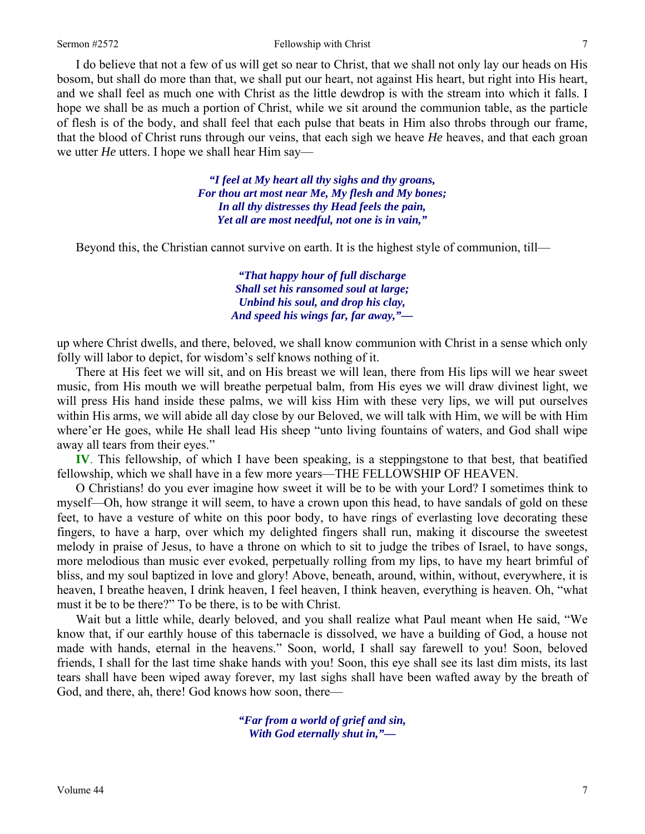#### Sermon #2572 **Fellowship with Christ** 7

I do believe that not a few of us will get so near to Christ, that we shall not only lay our heads on His bosom, but shall do more than that, we shall put our heart, not against His heart, but right into His heart, and we shall feel as much one with Christ as the little dewdrop is with the stream into which it falls. I hope we shall be as much a portion of Christ, while we sit around the communion table, as the particle of flesh is of the body, and shall feel that each pulse that beats in Him also throbs through our frame, that the blood of Christ runs through our veins, that each sigh we heave *He* heaves, and that each groan we utter *He* utters. I hope we shall hear Him say—

> *"I feel at My heart all thy sighs and thy groans, For thou art most near Me, My flesh and My bones; In all thy distresses thy Head feels the pain, Yet all are most needful, not one is in vain,"*

Beyond this, the Christian cannot survive on earth. It is the highest style of communion, till—

*"That happy hour of full discharge Shall set his ransomed soul at large; Unbind his soul, and drop his clay, And speed his wings far, far away,"—* 

up where Christ dwells, and there, beloved, we shall know communion with Christ in a sense which only folly will labor to depict, for wisdom's self knows nothing of it.

There at His feet we will sit, and on His breast we will lean, there from His lips will we hear sweet music, from His mouth we will breathe perpetual balm, from His eyes we will draw divinest light, we will press His hand inside these palms, we will kiss Him with these very lips, we will put ourselves within His arms, we will abide all day close by our Beloved, we will talk with Him, we will be with Him where'er He goes, while He shall lead His sheep "unto living fountains of waters, and God shall wipe away all tears from their eyes."

**IV**. This fellowship, of which I have been speaking, is a steppingstone to that best*,* that beatified fellowship, which we shall have in a few more years—THE FELLOWSHIP OF HEAVEN.

O Christians! do you ever imagine how sweet it will be to be with your Lord? I sometimes think to myself—Oh, how strange it will seem, to have a crown upon this head, to have sandals of gold on these feet, to have a vesture of white on this poor body, to have rings of everlasting love decorating these fingers, to have a harp, over which my delighted fingers shall run, making it discourse the sweetest melody in praise of Jesus, to have a throne on which to sit to judge the tribes of Israel, to have songs, more melodious than music ever evoked, perpetually rolling from my lips, to have my heart brimful of bliss, and my soul baptized in love and glory! Above, beneath, around, within, without, everywhere, it is heaven, I breathe heaven, I drink heaven, I feel heaven, I think heaven, everything is heaven. Oh, "what must it be to be there?" To be there, is to be with Christ.

Wait but a little while, dearly beloved, and you shall realize what Paul meant when He said, "We know that, if our earthly house of this tabernacle is dissolved, we have a building of God, a house not made with hands, eternal in the heavens." Soon, world, I shall say farewell to you! Soon, beloved friends, I shall for the last time shake hands with you! Soon, this eye shall see its last dim mists, its last tears shall have been wiped away forever, my last sighs shall have been wafted away by the breath of God, and there, ah, there! God knows how soon, there—

> *"Far from a world of grief and sin, With God eternally shut in,"—*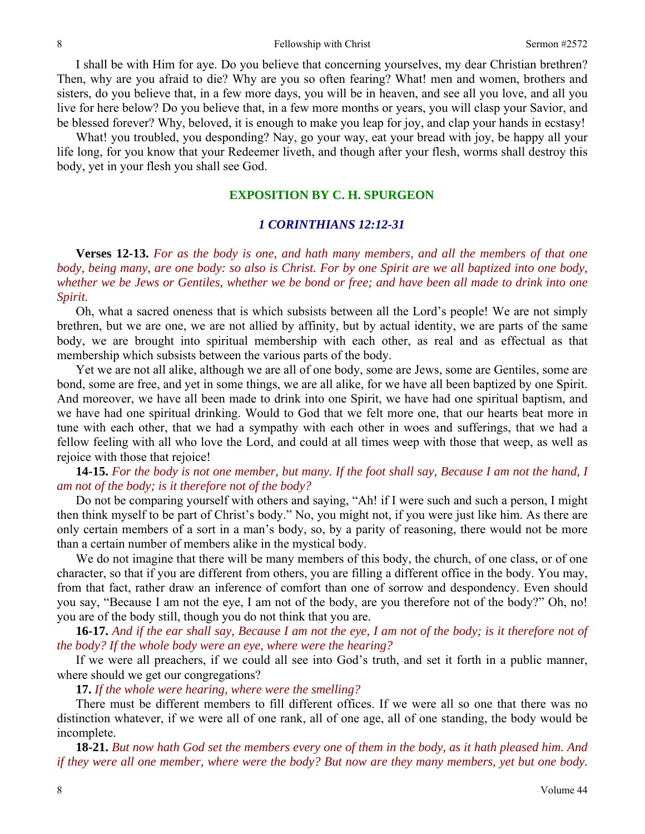I shall be with Him for aye. Do you believe that concerning yourselves, my dear Christian brethren? Then, why are you afraid to die? Why are you so often fearing? What! men and women, brothers and sisters, do you believe that, in a few more days, you will be in heaven, and see all you love, and all you live for here below? Do you believe that, in a few more months or years, you will clasp your Savior, and be blessed forever? Why, beloved, it is enough to make you leap for joy, and clap your hands in ecstasy!

What! you troubled, you desponding? Nay, go your way, eat your bread with joy, be happy all your life long, for you know that your Redeemer liveth, and though after your flesh, worms shall destroy this body, yet in your flesh you shall see God.

# **EXPOSITION BY C. H. SPURGEON**

#### *1 CORINTHIANS 12:12-31*

**Verses 12-13.** *For as the body is one, and hath many members, and all the members of that one body, being many, are one body: so also is Christ. For by one Spirit are we all baptized into one body, whether we be Jews or Gentiles, whether we be bond or free; and have been all made to drink into one Spirit.* 

Oh, what a sacred oneness that is which subsists between all the Lord's people! We are not simply brethren, but we are one, we are not allied by affinity, but by actual identity, we are parts of the same body, we are brought into spiritual membership with each other, as real and as effectual as that membership which subsists between the various parts of the body.

Yet we are not all alike, although we are all of one body, some are Jews, some are Gentiles, some are bond, some are free, and yet in some things, we are all alike, for we have all been baptized by one Spirit. And moreover, we have all been made to drink into one Spirit, we have had one spiritual baptism, and we have had one spiritual drinking. Would to God that we felt more one, that our hearts beat more in tune with each other, that we had a sympathy with each other in woes and sufferings, that we had a fellow feeling with all who love the Lord, and could at all times weep with those that weep, as well as rejoice with those that rejoice!

# **14-15.** *For the body is not one member, but many. If the foot shall say, Because I am not the hand, I am not of the body; is it therefore not of the body?*

Do not be comparing yourself with others and saying, "Ah! if I were such and such a person, I might then think myself to be part of Christ's body." No, you might not, if you were just like him. As there are only certain members of a sort in a man's body, so, by a parity of reasoning, there would not be more than a certain number of members alike in the mystical body.

We do not imagine that there will be many members of this body, the church, of one class, or of one character, so that if you are different from others, you are filling a different office in the body. You may, from that fact, rather draw an inference of comfort than one of sorrow and despondency. Even should you say, "Because I am not the eye, I am not of the body, are you therefore not of the body?" Oh, no! you are of the body still, though you do not think that you are.

**16-17.** *And if the ear shall say, Because I am not the eye, I am not of the body; is it therefore not of the body? If the whole body were an eye, where were the hearing?* 

If we were all preachers, if we could all see into God's truth, and set it forth in a public manner, where should we get our congregations?

**17.** *If the whole were hearing, where were the smelling?* 

There must be different members to fill different offices. If we were all so one that there was no distinction whatever, if we were all of one rank, all of one age, all of one standing, the body would be incomplete.

**18-21.** *But now hath God set the members every one of them in the body, as it hath pleased him. And if they were all one member, where were the body? But now are they many members, yet but one body.*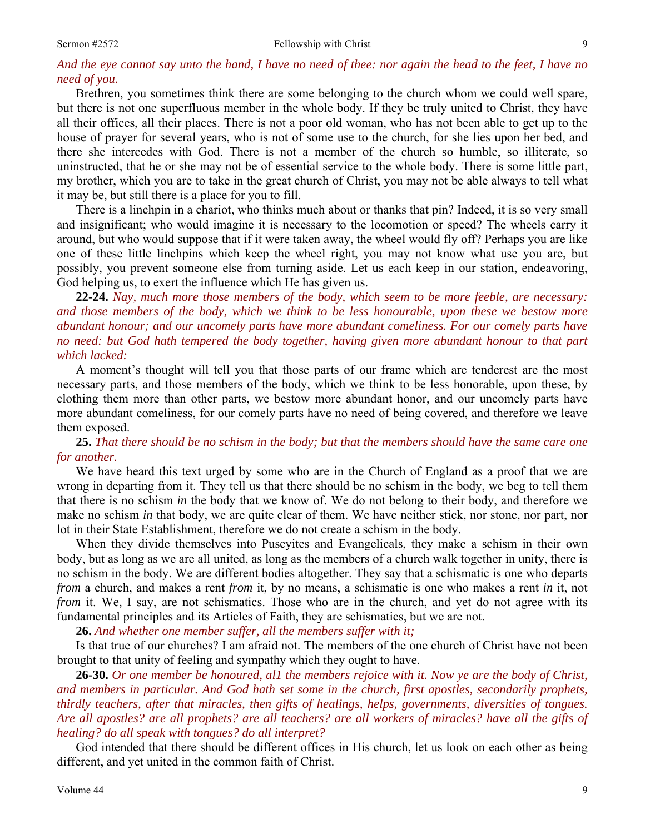# *And the eye cannot say unto the hand, I have no need of thee: nor again the head to the feet, I have no need of you.*

Brethren, you sometimes think there are some belonging to the church whom we could well spare, but there is not one superfluous member in the whole body. If they be truly united to Christ, they have all their offices, all their places. There is not a poor old woman, who has not been able to get up to the house of prayer for several years, who is not of some use to the church, for she lies upon her bed, and there she intercedes with God. There is not a member of the church so humble, so illiterate, so uninstructed, that he or she may not be of essential service to the whole body. There is some little part, my brother, which you are to take in the great church of Christ, you may not be able always to tell what it may be, but still there is a place for you to fill.

There is a linchpin in a chariot, who thinks much about or thanks that pin? Indeed, it is so very small and insignificant; who would imagine it is necessary to the locomotion or speed? The wheels carry it around, but who would suppose that if it were taken away, the wheel would fly off? Perhaps you are like one of these little linchpins which keep the wheel right, you may not know what use you are, but possibly, you prevent someone else from turning aside. Let us each keep in our station, endeavoring, God helping us, to exert the influence which He has given us.

**22-24.** *Nay, much more those members of the body, which seem to be more feeble, are necessary: and those members of the body, which we think to be less honourable, upon these we bestow more abundant honour; and our uncomely parts have more abundant comeliness. For our comely parts have*  no need: but God hath tempered the body together, having given more abundant honour to that part *which lacked:* 

A moment's thought will tell you that those parts of our frame which are tenderest are the most necessary parts, and those members of the body, which we think to be less honorable, upon these, by clothing them more than other parts, we bestow more abundant honor, and our uncomely parts have more abundant comeliness, for our comely parts have no need of being covered, and therefore we leave them exposed.

**25.** *That there should be no schism in the body; but that the members should have the same care one for another.* 

We have heard this text urged by some who are in the Church of England as a proof that we are wrong in departing from it. They tell us that there should be no schism in the body, we beg to tell them that there is no schism *in* the body that we know of. We do not belong to their body, and therefore we make no schism *in* that body, we are quite clear of them. We have neither stick, nor stone, nor part, nor lot in their State Establishment, therefore we do not create a schism in the body.

When they divide themselves into Puseyites and Evangelicals, they make a schism in their own body, but as long as we are all united, as long as the members of a church walk together in unity, there is no schism in the body. We are different bodies altogether. They say that a schismatic is one who departs *from* a church, and makes a rent *from* it, by no means, a schismatic is one who makes a rent *in* it, not *from* it. We, I say, are not schismatics. Those who are in the church, and yet do not agree with its fundamental principles and its Articles of Faith, they are schismatics, but we are not.

**26.** *And whether one member suffer, all the members suffer with it;* 

Is that true of our churches? I am afraid not. The members of the one church of Christ have not been brought to that unity of feeling and sympathy which they ought to have.

**26-30.** *Or one member be honoured, al1 the members rejoice with it. Now ye are the body of Christ, and members in particular. And God hath set some in the church, first apostles, secondarily prophets, thirdly teachers, after that miracles, then gifts of healings, helps, governments, diversities of tongues. Are all apostles? are all prophets? are all teachers? are all workers of miracles? have all the gifts of healing? do all speak with tongues? do all interpret?* 

God intended that there should be different offices in His church, let us look on each other as being different, and yet united in the common faith of Christ.